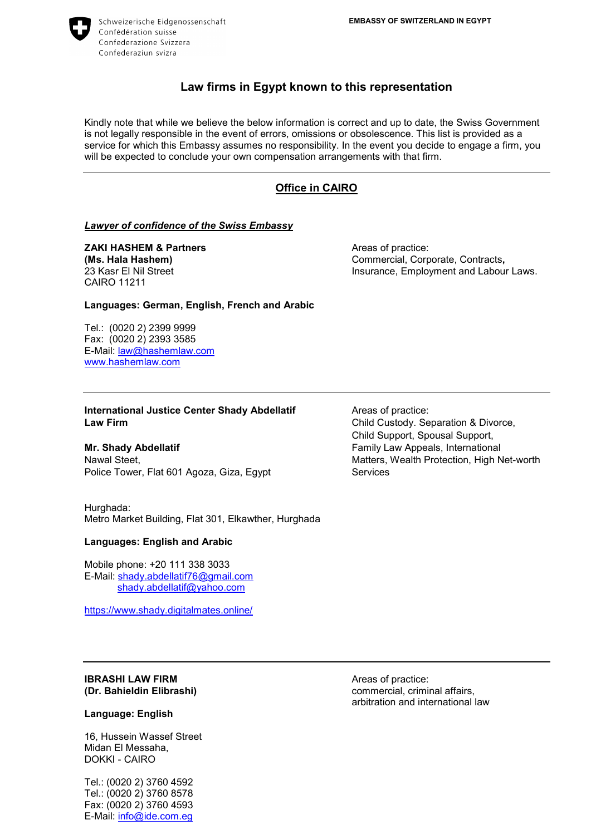

Ξ

Schweizerische Eidgenossenschaft Confédération suisse Confederazione Svizzera Confederaziun svizra

# Law firms in Egypt known to this representation

Kindly note that while we believe the below information is correct and up to date, the Swiss Government is not legally responsible in the event of errors, omissions or obsolescence. This list is provided as a service for which this Embassy assumes no responsibility. In the event you decide to engage a firm, you will be expected to conclude your own compensation arrangements with that firm.

# Office in CAIRO

#### **Lawyer of confidence of the Swiss Embassy**

**ZAKI HASHEM & Partners** Areas of practice: CAIRO 11211

(Ms. Hala Hashem) Commercial, Corporate, Contracts, 23 Kasr El Nil Street **Insurance, Employment and Labour Laws.** 

Languages: German, English, French and Arabic

Tel.: (0020 2) 2399 9999 Fax: (0020 2) 2393 3585 E-Mail: law@hashemlaw.com www.hashemlaw.com

International Justice Center Shady Abdellatif Areas of practice: Law Firm **Child Custody.** Separation & Divorce,

Police Tower, Flat 601 Agoza, Giza, Egypt Services

Hurghada: Metro Market Building, Flat 301, Elkawther, Hurghada

#### Languages: English and Arabic

Mobile phone: +20 111 338 3033 E-Mail: shady.abdellatif76@gmail.com shady.abdellatif@yahoo.com

https://www.shady.digitalmates.online/

 Child Support, Spousal Support, Mr. Shady Abdellatif **Family Law Appeals, International** Nawal Steet, Matters, Wealth Protection, High Net-worth

# **IBRASHI LAW FIRM** Areas of practice:

#### Language: English

16, Hussein Wassef Street Midan El Messaha, DOKKI - CAIRO

Tel.: (0020 2) 3760 4592 Tel.: (0020 2) 3760 8578 Fax: (0020 2) 3760 4593 E-Mail: info@ide.com.eg

(Dr. Bahieldin Elibrashi) commercial, criminal affairs, arbitration and international law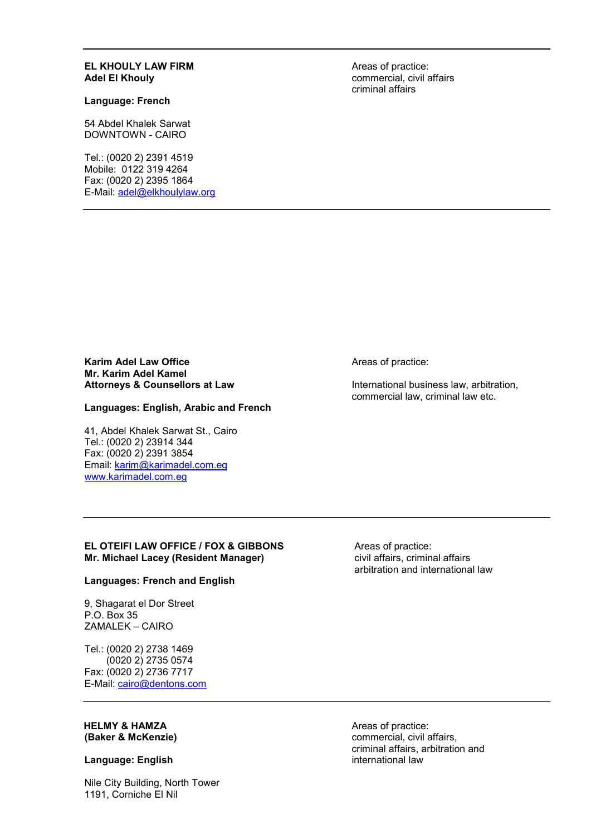#### EL KHOULY LAW FIRM Areas of practice: Adel El Khouly **Adel El Khouly Commercial, civil affairs Adel El Khouly Commercial**, civil affairs

#### Language: French

54 Abdel Khalek Sarwat DOWNTOWN - CAIRO

Tel.: (0020 2) 2391 4519 Mobile: 0122 319 4264 Fax: (0020 2) 2395 1864 E-Mail: adel@elkhoulylaw.org criminal affairs

Karim Adel Law Office **Areas of practice:** Mr. Karim Adel Kamel<br>Attorneys & Counsellors at Law

### Languages: English, Arabic and French

41, Abdel Khalek Sarwat St., Cairo Tel.: (0020 2) 23914 344 Fax: (0020 2) 2391 3854 Email: karim@karimadel.com.eg www.karimadel.com.eg

International business law, arbitration, commercial law, criminal law etc.

#### EL OTEIFI LAW OFFICE / FOX & GIBBONS The asset of practice:<br>
Mr. Michael Lacey (Resident Manager) The Microsoft affairs, criminal affairs Mr. Michael Lacey (Resident Manager)

#### Languages: French and English

9, Shagarat el Dor Street P.O. Box 35 ZAMALEK – CAIRO

Tel.: (0020 2) 2738 1469 (0020 2) 2735 0574 Fax: (0020 2) 2736 7717 E-Mail: cairo@dentons.com

# **HELMY & HAMZA** Areas of practice:

#### Language: English international law

Nile City Building, North Tower 1191, Corniche El Nil

arbitration and international law

(Baker & McKenzie) commercial, civil affairs, criminal affairs, arbitration and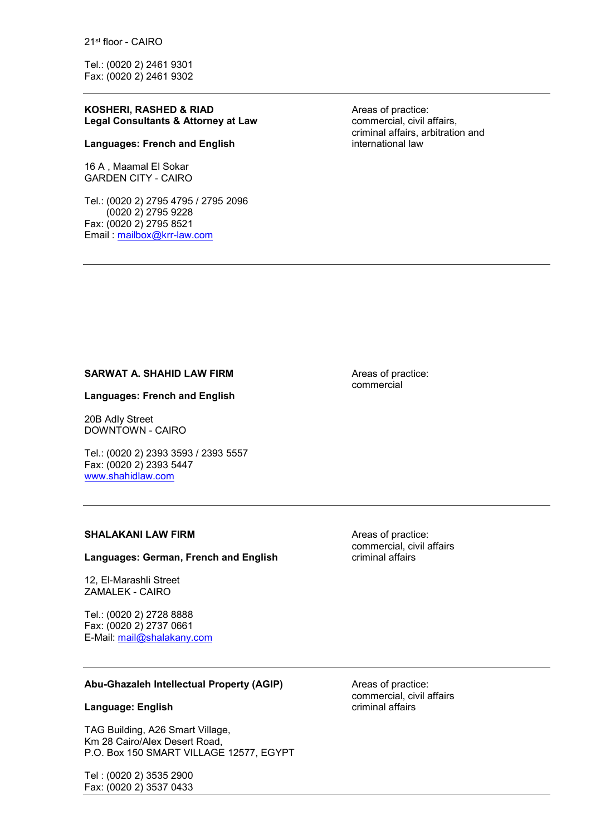21st floor - CAIRO

Tel.: (0020 2) 2461 9301 Fax: (0020 2) 2461 9302

#### KOSHERI, RASHED & RIAD Areas of practice: Legal Consultants & Attorney at Law **Example 20 commercial, civil affairs,**

#### Languages: French and English international law

16 A , Maamal El Sokar GARDEN CITY - CAIRO

Tel.: (0020 2) 2795 4795 / 2795 2096 (0020 2) 2795 9228 Fax: (0020 2) 2795 8521 Email : mailbox@krr-law.com

criminal affairs, arbitration and

SARWAT A. SHAHID LAW FIRM **AXABLE 2018** Areas of practice:

#### Languages: French and English

20B Adly Street DOWNTOWN - CAIRO

Tel.: (0020 2) 2393 3593 / 2393 5557 Fax: (0020 2) 2393 5447 www.shahidlaw.com

#### SHALAKANI LAW FIRM **ALAKANI LAW FIRM** Areas of practice:

#### Languages: German, French and English Criminal affairs

12, El-Marashli Street ZAMALEK - CAIRO

Tel.: (0020 2) 2728 8888 Fax: (0020 2) 2737 0661 E-Mail: mail@shalakany.com

Abu-Ghazaleh Intellectual Property (AGIP) Areas of practice:

#### Language: English criminal affairs

TAG Building, A26 Smart Village, Km 28 Cairo/Alex Desert Road, P.O. Box 150 SMART VILLAGE 12577, EGYPT

Tel : (0020 2) 3535 2900 Fax: (0020 2) 3537 0433

commercial

commercial, civil affairs

commercial, civil affairs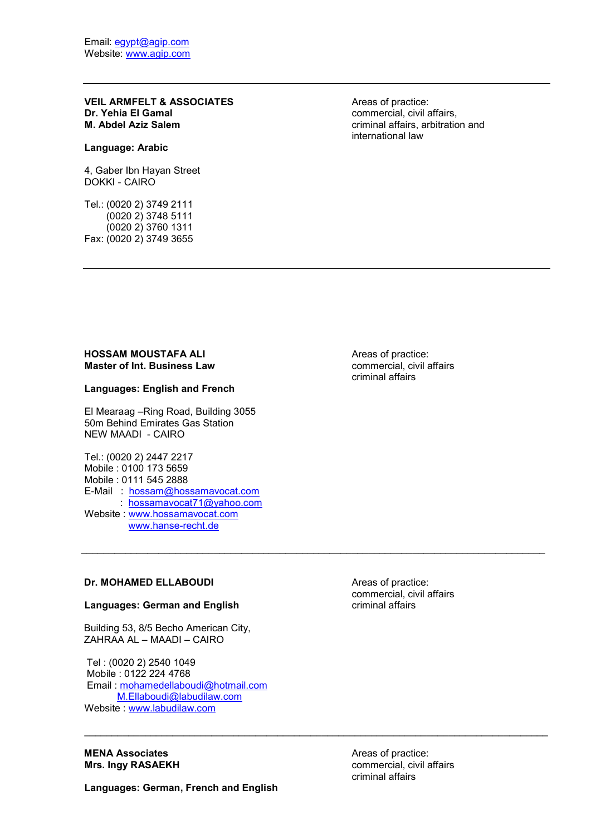VEIL ARMFELT & ASSOCIATES<br>
Dr. Yehia El Gamal<br>
Commercial, civil a M. Abdel Aziz Salem **Calicare and Acid Aziz Salem** criminal affairs, arbitration and

#### Language: Arabic

4, Gaber Ibn Hayan Street DOKKI - CAIRO

Tel.: (0020 2) 3749 2111 (0020 2) 3748 5111 (0020 2) 3760 1311 Fax: (0020 2) 3749 3655 commercial, civil affairs, international law

### HOSSAM MOUSTAFA ALI Areas of practice: Master of Int. Business Law Commercial, civil affairs

#### Languages: English and French

El Mearaag –Ring Road, Building 3055 50m Behind Emirates Gas Station NEW MAADI - CAIRO

Tel.: (0020 2) 2447 2217 Mobile : 0100 173 5659 Mobile : 0111 545 2888 E-Mail : hossam@hossamavocat.com : hossamavocat71@yahoo.com Website : www.hossamavocat.com www.hanse-recht.de

criminal affairs

#### Dr. MOHAMED ELLABOUDI Areas of practice:

#### Languages: German and English

 Building 53, 8/5 Becho American City, ZAHRAA AL – MAADI – CAIRO

 Tel : (0020 2) 2540 1049 Mobile : 0122 224 4768 Email : mohamedellaboudi@hotmail.com M.Ellaboudi@labudilaw.com Website : www.labudilaw.com

**MENA Associates Areas of practice:** 

Languages: German, French and English

commercial, civil affairs

\_\_\_\_\_\_\_\_\_\_\_\_\_\_\_\_\_\_\_\_\_\_\_\_\_\_\_\_\_\_\_\_\_\_\_\_\_\_\_\_\_\_\_\_\_\_\_\_\_\_\_\_\_\_\_\_\_\_\_\_\_\_\_\_\_\_\_\_\_\_\_\_\_\_\_\_\_\_\_\_\_\_\_\_

Mrs. Ingy RASAEKH commercial, civil affairs criminal affairs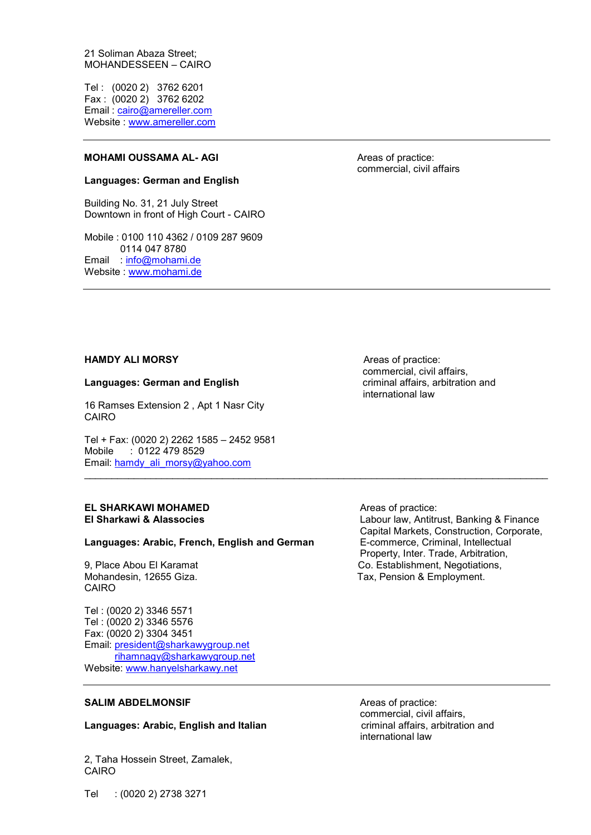21 Soliman Abaza Street; MOHANDESSEEN – CAIRO

Tel : (0020 2) 3762 6201 Fax : (0020 2) 3762 6202 Email : cairo@amereller.com Website : www.amereller.com

#### MOHAMI OUSSAMA AL-AGI Areas of practice:

#### Languages: German and English

Building No. 31, 21 July Street Downtown in front of High Court - CAIRO

Mobile : 0100 110 4362 / 0109 287 9609 0114 047 8780 Email : info@mohami.de Website : www.mohami.de

commercial, civil affairs

#### HAMDY ALI MORSY **ALIMORSY** Areas of practice:

#### Languages: German and English criminal affairs, arbitration and

16 Ramses Extension 2 , Apt 1 Nasr City CAIRO

Tel + Fax: (0020 2) 2262 1585 – 2452 9581 Mobile : 0122 479 8529 Email: hamdy ali\_morsy@yahoo.com

# EL SHARKAWI MOHAMED<br>
El Sharkawi & Alassocies<br>
El Sharkawi & Alassocies

#### Languages: Arabic, French, English and German E-commerce, Criminal, Intellectual

CAIRO

Tel : (0020 2) 3346 5571 Tel : (0020 2) 3346 5576 Fax: (0020 2) 3304 3451 Email: president@sharkawygroup.net rihamnagy@sharkawygroup.net Website: www.hanyelsharkawy.net

 commercial, civil affairs, international law

\_\_\_\_\_\_\_\_\_\_\_\_\_\_\_\_\_\_\_\_\_\_\_\_\_\_\_\_\_\_\_\_\_\_\_\_\_\_\_\_\_\_\_\_\_\_\_\_\_\_\_\_\_\_\_\_\_\_\_\_\_\_\_\_\_\_\_\_\_\_\_\_\_\_\_\_\_\_\_\_\_\_\_\_

Labour law, Antitrust, Banking & Finance Capital Markets, Construction, Corporate, Property, Inter. Trade, Arbitration, 9, Place Abou El Karamat Co. Establishment, Negotiations, Mohandesin, 12655 Giza. Tax, Pension & Employment.

#### SALIM ABDELMONSIF Areas of practice:

#### Languages: Arabic, English and Italian criminal affairs, arbitration and

2, Taha Hossein Street, Zamalek, CAIRO

 commercial, civil affairs, international law

Tel : (0020 2) 2738 3271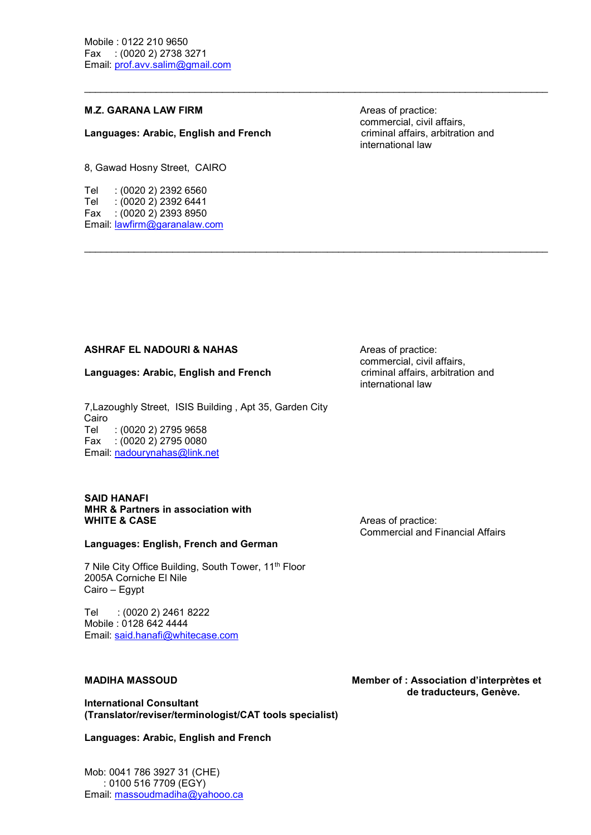#### M.Z. GARANA LAW FIRM Areas of practice:

#### Languages: Arabic, English and French Canadian Criminal affairs, arbitration and

8, Gawad Hosny Street, CAIRO

Tel : (0020 2) 2392 6560 Tel : (0020 2) 2392 6441 Fax : (0020 2) 2393 8950 Email: lawfirm@garanalaw.com  commercial, civil affairs, international law

### ASHRAF EL NADOURI & NAHAS Areas of practice:

#### Languages: Arabic, English and French Care criminal affairs, arbitration and

7,Lazoughly Street, ISIS Building , Apt 35, Garden City Cairo Tel : (0020 2) 2795 9658 Fax : (0020 2) 2795 0080 Email: nadourynahas@link.net

#### SAID HANAFI MHR & Partners in association with WHITE & CASE Areas of practice:

#### Languages: English, French and German

7 Nile City Office Building, South Tower, 11<sup>th</sup> Floor 2005A Corniche El Nile Cairo – Egypt

Tel : (0020 2) 2461 8222 Mobile : 0128 642 4444 Email: said.hanafi@whitecase.com

International Consultant (Translator/reviser/terminologist/CAT tools specialist)

Languages: Arabic, English and French

Mob: 0041 786 3927 31 (CHE) : 0100 516 7709 (EGY) Email: massoudmadiha@yahooo.ca  commercial, civil affairs, international law

 $\mathcal{L}_\mathcal{L} = \{ \mathcal{L}_\mathcal{L} = \{ \mathcal{L}_\mathcal{L} = \{ \mathcal{L}_\mathcal{L} = \{ \mathcal{L}_\mathcal{L} = \{ \mathcal{L}_\mathcal{L} = \{ \mathcal{L}_\mathcal{L} = \{ \mathcal{L}_\mathcal{L} = \{ \mathcal{L}_\mathcal{L} = \{ \mathcal{L}_\mathcal{L} = \{ \mathcal{L}_\mathcal{L} = \{ \mathcal{L}_\mathcal{L} = \{ \mathcal{L}_\mathcal{L} = \{ \mathcal{L}_\mathcal{L} = \{ \mathcal{L}_\mathcal{$ 

Commercial and Financial Affairs

MADIHA MASSOUD Member of : Association d'interprètes et de traducteurs, Genève.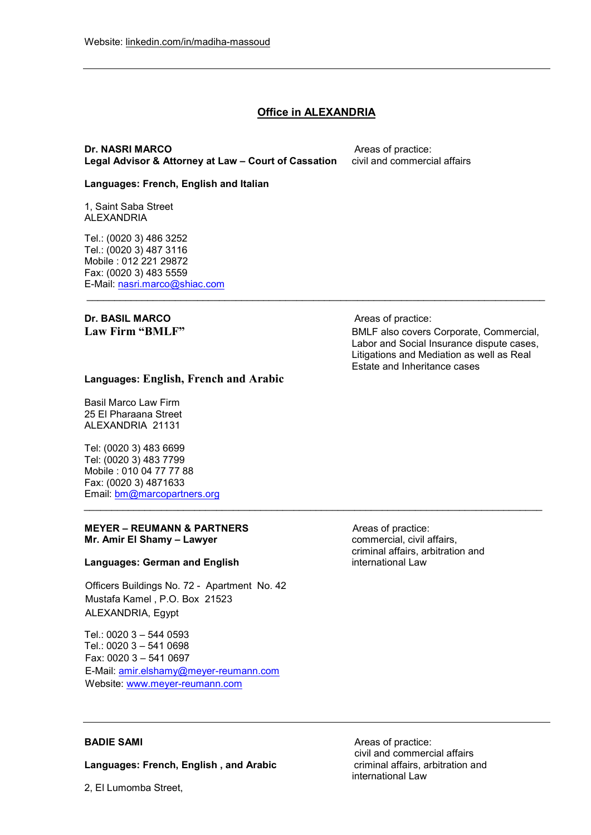## **Office in ALEXANDRIA**

\_\_\_\_\_\_\_\_\_\_\_\_\_\_\_\_\_\_\_\_\_\_\_\_\_\_\_\_\_\_\_\_\_\_\_\_\_\_\_\_\_\_\_\_\_\_\_\_\_\_\_\_\_\_\_\_\_\_\_\_\_\_\_\_\_\_\_\_\_\_\_\_\_\_\_\_\_\_\_\_\_\_\_

 $\mathcal{L}_\text{max}$  , and the contribution of the contribution of the contribution of the contribution of the contribution of the contribution of the contribution of the contribution of the contribution of the contribution of t

#### **Dr. NASRI MARCO** Areas of practice: Legal Advisor & Attorney at Law – Court of Cassation civil and commercial affairs

#### Languages: French, English and Italian

1, Saint Saba Street ALEXANDRIA

Tel.: (0020 3) 486 3252 Tel.: (0020 3) 487 3116 Mobile : 012 221 29872 Fax: (0020 3) 483 5559 E-Mail: nasri.marco@shiac.com

# Dr. BASIL MARCO Areas of practice:

Law Firm "BMLF" BMLF also covers Corporate, Commercial, Labor and Social Insurance dispute cases, Litigations and Mediation as well as Real Estate and Inheritance cases

### Languages: English, French and Arabic

Basil Marco Law Firm 25 El Pharaana Street ALEXANDRIA 21131

Tel: (0020 3) 483 6699 Tel: (0020 3) 483 7799 Mobile : 010 04 77 77 88 Fax: (0020 3) 4871633 Email: bm@marcopartners.org

#### MEYER – REUMANN & PARTNERS Areas of practice: Mr. Amir El Shamy – Lawyer **commercial, civil affairs**,

#### Languages: German and English international Law

Officers Buildings No. 72 - Apartment No. 42 Mustafa Kamel , P.O. Box 21523 ALEXANDRIA, Egypt

Tel.: 0020 3 – 544 0593 Tel.: 0020 3 – 541 0698 Fax: 0020 3 – 541 0697 E-Mail: amir.elshamy@meyer-reumann.com Website: www.meyer-reumann.com

criminal affairs, arbitration and

Languages: French, English, and Arabic

2, El Lumomba Street,

BADIE SAMI Areas of practice: civil and commercial affairs international Law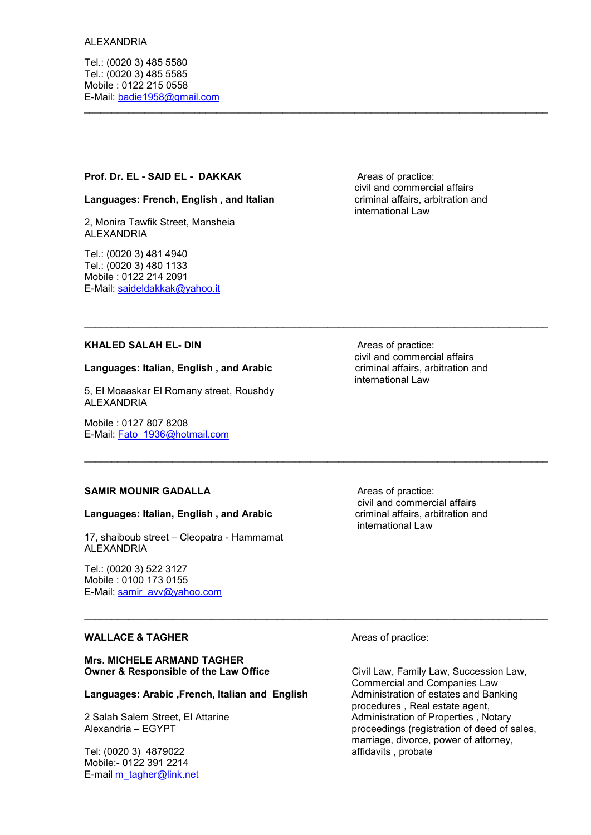#### ALEXANDRIA

Tel.: (0020 3) 485 5580 Tel.: (0020 3) 485 5585 Mobile : 0122 215 0558 E-Mail: badie1958@gmail.com

#### Prof. Dr. EL - SAID EL - DAKKAK Areas of practice:

#### Languages: French, English, and Italian **come contained are criminal affairs**, arbitration and

2, Monira Tawfik Street, Mansheia ALEXANDRIA

Tel.: (0020 3) 481 4940 Tel.: (0020 3) 480 1133 Mobile : 0122 214 2091 E-Mail: saideldakkak@yahoo.it  civil and commercial affairs international Law

 $\mathcal{L}_\text{max}$  , and the contribution of the contribution of the contribution of the contribution of the contribution of the contribution of the contribution of the contribution of the contribution of the contribution of t

### KHALED SALAH EL- DIN Areas of practice:

#### Languages: Italian, English, and Arabic

5, El Moaaskar El Romany street, Roushdy ALEXANDRIA

Mobile : 0127 807 8208 E-Mail: Fato\_1936@hotmail.com

### SAMIR MOUNIR GADALLA Areas of practice:

#### Languages: Italian, English, and Arabic **criminal affairs, arbitration and**

17, shaiboub street – Cleopatra - Hammamat ALEXANDRIA

Tel.: (0020 3) 522 3127 Mobile : 0100 173 0155 E-Mail: samir\_avv@yahoo.com

#### WALLACE & TAGHER Areas of practice:

Mrs. MICHELE ARMAND TAGHER Owner & Responsible of the Law Office **Civil Law, Family Law, Succession Law**,

#### Languages: Arabic , French, Italian and English Administration of estates and Banking

Tel: (0020 3) 4879022 affidavits , probate Mobile:- 0122 391 2214 E-mail m\_tagher@link.net

 civil and commercial affairs international Law

 civil and commercial affairs international Law

\_\_\_\_\_\_\_\_\_\_\_\_\_\_\_\_\_\_\_\_\_\_\_\_\_\_\_\_\_\_\_\_\_\_\_\_\_\_\_\_\_\_\_\_\_\_\_\_\_\_\_\_\_\_\_\_\_\_\_\_\_\_\_\_\_\_\_\_\_\_\_\_\_\_\_\_\_\_\_\_\_\_\_\_

Commercial and Companies Law procedures , Real estate agent, 2 Salah Salem Street, El Attarine **Administration of Properties** , Notary Alexandria – EGYPT proceedings (registration of deed of sales, marriage, divorce, power of attorney,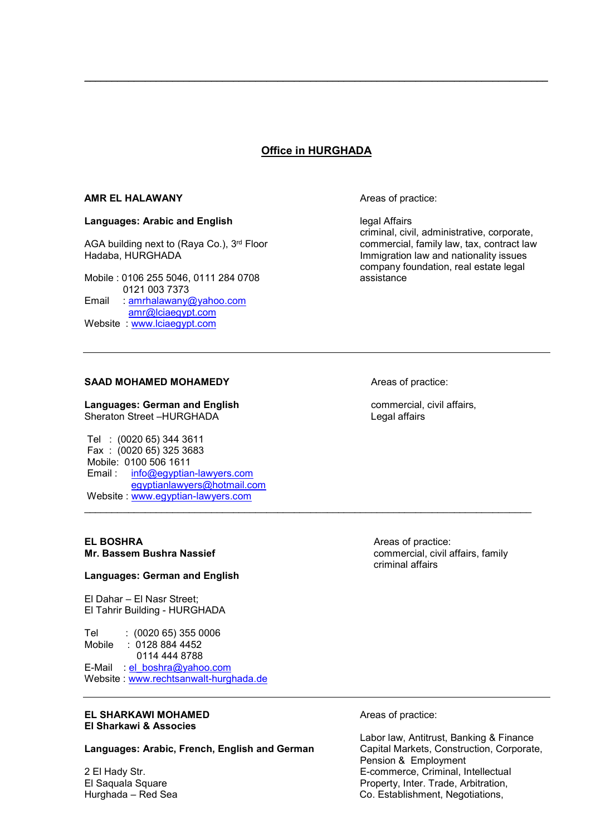## Office in HURGHADA

 $\_$  . The contribution of the contribution of the contribution of the contribution of  $\mathcal{L}_1$ 

#### AMR EL HALAWANY **AND ALACCES** Areas of practice:

#### Languages: Arabic and English and English legal Affairs

AGA building next to (Raya Co.), 3<sup>rd</sup> Floor commercial, family law, tax, contract law<br>Hadaba, HURGHADA diam commercial, family law, tax, contract law

Mobile : 0106 255 5046, 0111 284 0708 0121 003 7373 Email : amrhalawany@yahoo.com amr@lciaegypt.com

Website : www.lciaegypt.com

 criminal, civil, administrative, corporate, Immigration law and nationality issues company foundation, real estate legal

#### SAAD MOHAMED MOHAMEDY **Areas** of practice:

Languages: German and English commercial, civil affairs, Sheraton Street –HURGHADA Legal affairs

 Tel : (0020 65) 344 3611 Fax : (0020 65) 325 3683 Mobile: 0100 506 1611 Email : info@egyptian-lawyers.com egyptianlawyers@hotmail.com Website : www.egyptian-lawyers.com \_\_\_\_\_\_\_\_\_\_\_\_\_\_\_\_\_\_\_\_\_\_\_\_\_\_\_\_\_\_\_\_\_\_\_\_\_\_\_\_\_\_\_\_\_\_\_\_\_\_\_\_\_\_\_\_\_\_\_\_\_\_\_\_\_\_\_\_\_\_\_\_\_\_\_\_\_\_\_\_\_

#### Languages: German and English

El Dahar – El Nasr Street; El Tahrir Building - HURGHADA

Tel : (0020 65) 355 0006 Mobile : 0128 884 4452 0114 444 8788 E-Mail : el\_boshra@yahoo.com Website : www.rechtsanwalt-hurghada.de

#### **EL SHARKAWI MOHAMED Areas of practice:** El Sharkawi & Associes

Languages: Arabic, French, English and German Capital Markets, Construction, Corporate,

**EL BOSHRA Areas of practice:** Mr. Bassem Bushra Nassief **Commercial, commercial, civil affairs**, family criminal affairs

 Labor law, Antitrust, Banking & Finance Pension & Employment 2 El Hady Str. E-commerce, Criminal, Intellectual El Saquala Square **Property, Inter. Trade, Arbitration**, Hurghada – Red Sea Co. Establishment, Negotiations,